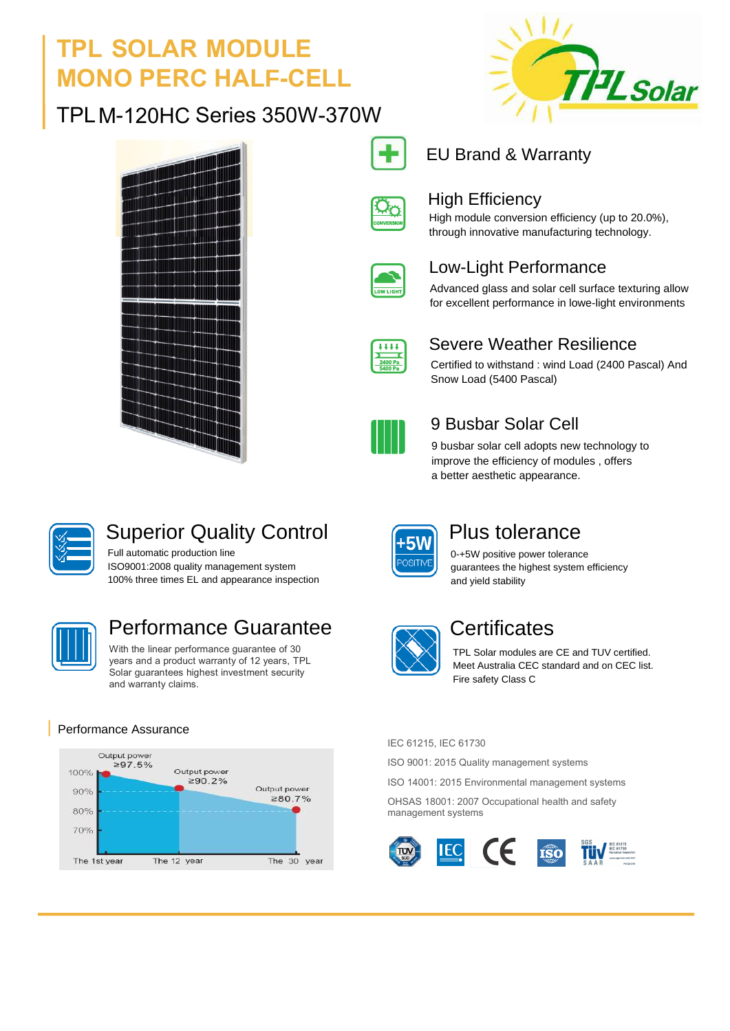## **TPL SOLAR MODULE MONO PERC HALF-CELL**

### TPLM-120HC Series 350W-370W







### EU Brand & Warranty



### High Efficiency

High module conversion efficiency (up to 20.0%), through innovative manufacturing technology.

| LIGH<br>٢ |
|-----------|

### Low-Light Performance

Advanced glass and solar cell surface texturing allow for excellent performance in lowe-light environments

| п |  |  |  |  |  |
|---|--|--|--|--|--|
|   |  |  |  |  |  |

### Severe Weather Resilience

Certified to withstand : wind Load (2400 Pascal) And Snow Load (5400 Pascal)



### 9 Busbar Solar Cell

9 busbar solar cell adopts new technology to improve the efficiency of modules , offers a better aesthetic appearance.



### Superior Quality Control

Full automatic production line ISO9001:2008 quality management system 100% three times EL and appearance inspection



### Performance Guarantee **Communists** Certificates

With the linear performance guarantee of 30 years and a product warranty of 12 years, TPL Solar guarantees highest investment security and warranty claims.

#### Performance Assurance



and yield stability

Plus tolerance 0-+5W positive power tolerance guarantees the highest system efficiency

TPL Solar modules are CE and TUV certified. Meet Australia CEC standard and on CEC list. Fire safety Class C

#### IEC 61215, IEC 61730

ISO 9001: 2015 Quality management systems

ISO 14001: 2015 Environmental management systems

OHSAS 18001: 2007 Occupational health and safety management systems